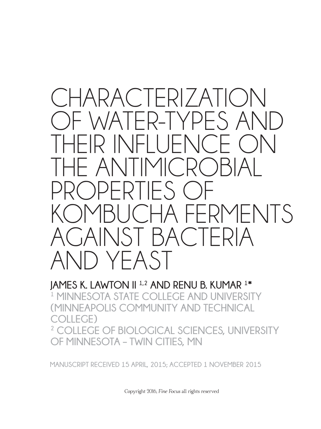# CHARACTERIZATION OF WATER-TYPES AND THEIR INFLUENCE ON  $-$  ANITIMIC PROPERTIES OF IBUCHA FERMENTS AGAINST BACTERIA AND YEAST

**JAMES K. LAWTON II 1,2 AND RENU B. KUMAR 1 \* 1 MINNESOTA STATE COLLEGE AND UNIVERSITY (MINNEAPOLIS COMMUNITY AND TECHNICAL COLLEGE) 2 COLLEGE OF BIOLOGICAL SCIENCES, UNIVERSITY OF MINNESOTA – TWIN CITIES, MN**

**MANUSCRIPT RECEIVED 15 APRIL, 2015; ACCEPTED 1 NOVEMBER 2015**

Copyright 2016, *Fine Focus* all rights reserved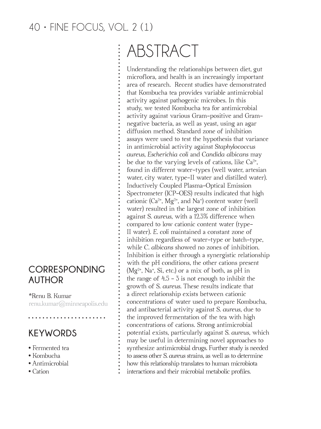# ABSTRACT

Understanding the relationships between diet, gut microflora, and health is an increasingly important area of research. Recent studies have demonstrated that Kombucha tea provides variable antimicrobial activity against pathogenic microbes. In this study, we tested Kombucha tea for antimicrobial activity against various Gram-positive and Gramnegative bacteria, as well as yeast, using an agar diffusion method. Standard zone of inhibition assays were used to test the hypothesis that variance in antimicrobial activity against *Staphylococcus aureus, Escherichia coli* and *Candida albicans* may be due to the varying levels of cations, like  $Ca^{2+}$ , found in different water-types (well water, artesian water, city water, type-II water and distilled water). Inductively Coupled Plasma-Optical Emission Spectrometer (ICP-OES) results indicated that high cationic  $(Ca^{2+}, Mg^{2+}, and Na^{+})$  content water (well water) resulted in the largest zone of inhibition against *S. aureus*, with a 12.3% difference when compared to low cationic content water (type-II water). *E. coli* maintained a constant zone of inhibition regardless of water-type or batch-type, while *C. albicans* showed no zones of inhibition. Inhibition is either through a synergistic relationship with the pH conditions, the other cations present  $(Mg<sup>2+</sup>, Na<sup>+</sup>, Si, etc.)$  or a mix of both, as pH in the range of  $4.5 - 3$  is not enough to inhibit the growth of *S. aureus*. These results indicate that a direct relationship exists between cationic concentrations of water used to prepare Kombucha, and antibacterial activity against *S. aureus,* due to the improved fermentation of the tea with high concentrations of cations. Strong antimicrobial potential exists, particularly against *S. aureus*, which may be useful in determining novel approaches to synthesize antimicrobial drugs. Further study is needed to assess other *S. aureus* strains, as well as to determine how this relationship translates to human microbiota interactions and their microbial metabolic profles.

#### **CORRESPONDING AUTHOR**

\*Renu B. Kumar renu.kumar@minneapolis.edu

## **KEYWORDS**

- Fermented tea
- Kombucha
- Antimicrobial
- Cation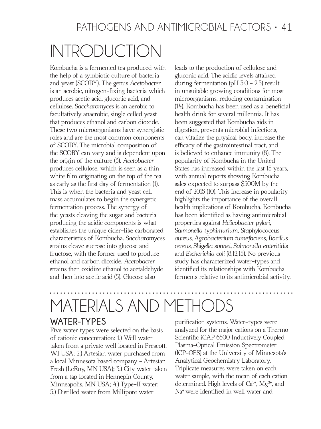# INTRODUCTION

Kombucha is a fermented tea produced with the help of a symbiotic culture of bacteria and yeast (SCOBY). The genus *Acetobacter*  is an aerobic, nitrogen-fxing bacteria which produces acetic acid, gluconic acid, and cellulose. *Saccharomyces* is an aerobic to facultatively anaerobic, single celled yeast that produces ethanol and carbon dioxide. These two microorganisms have synergistic roles and are the most common components of SCOBY. The microbial composition of the SCOBY can vary and is dependent upon the origin of the culture (3). *Acetobacter*  produces cellulose, which is seen as a thin white flm originating on the top of the tea as early as the frst day of fermentation (1). This is when the bacteria and yeast cell mass accumulates to begin the synergetic fermentation process. The synergy of the yeasts cleaving the sugar and bacteria producing the acidic components is what establishes the unique cider-like carbonated characteristics of Kombucha. *Saccharomyces* strains cleave sucrose into glucose and fructose, with the former used to produce ethanol and carbon dioxide. *Acetobacter*  strains then oxidize ethanol to acetaldehyde and then into acetic acid (5). Glucose also

leads to the production of cellulose and gluconic acid. The acidic levels attained during fermentation (pH 3.0 - 2.5) result in unsuitable growing conditions for most microorganisms, reducing contamination (14). Kombucha has been used as a benefcial health drink for several millennia. It has been suggested that Kombucha aids in digestion, prevents microbial infections, can vitalize the physical body, increase the effcacy of the gastrointestinal tract, and is believed to enhance immunity (8). The popularity of Kombucha in the United States has increased within the last 15 years, with annual reports showing Kombucha sales expected to surpass \$500M by the end of 2015 (10). This increase in popularity highlights the importance of the overall health implications of Kombucha. Kombucha has been identifed as having antimicrobial properties against *Helicobacter pylori*, *Salmonella typhimurium*, *Staphylococcus aureus, Agrobacterium tumefaciens, Bacillus cereus*, *Shigella sonnei, Salmonella enteritidis*  and *Escherichia coli* (8,12,15). No previous study has characterized water-types and identifed its relationships with Kombucha ferments relative to its antimicrobial activity.

# MATERIALS AND METHODS

#### **WATER-TYPES**

Five water types were selected on the basis of cationic concentration: 1.) Well water taken from a private well located in Prescott, WI USA; 2.) Artesian water purchased from a local Minnesota based company - Artesian Fresh (LeRoy, MN USA); 3.) City water taken from a tap located in Hennepin County, Minneapolis, MN USA; 4.) Type-II water; 5.) Distilled water from Millipore water

purifcation systems. Water-types were analyzed for the major cations on a Thermo Scientifc iCAP 6500 Inductively Coupled Plasma-Optical Emission Spectrometer (ICP-OES) at the University of Minnesota's Analytical Geochemistry Laboratory. Triplicate measures were taken on each water sample, with the mean of each cation determined. High levels of  $Ca^{2+}$ , Mg<sup>2+</sup>, and Na+ were identifed in well water and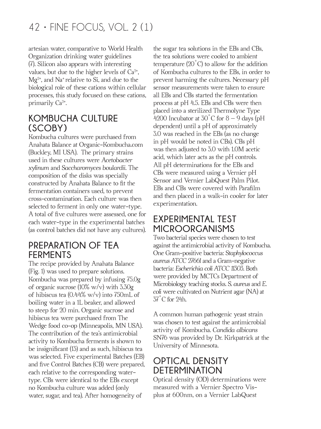artesian water, comparative to World Health Organization drinking water guidelines (7). Silicon also appears with interesting values, but due to the higher levels of  $Ca<sup>2+</sup>$ ,  $Mg^{2+}$ , and Na<sup>+</sup> relative to Si, and due to the biological role of these cations within cellular processes, this study focused on these cations, primarily Ca<sup>2+</sup>.

#### **KOMBUCHA CULTURE (SCOBY)**

Kombucha cultures were purchased from Anahata Balance at Organic-Kombucha.com (Buckley, MI USA). The primary strains used in these cultures were *Acetobacter xylinum* and *Saccharomyces boulardii.* The composition of the disks was specially constructed by Anahata Balance to ft the fermentation containers used, to prevent cross-contamination. Each culture was then selected to ferment in only one water-type. A total of fve cultures were assessed, one for each water-type in the experimental batches (as control batches did not have any cultures).

#### **PREPARATION OF TEA FERMENTS**

The recipe provided by Anahata Balance (Fig. 1) was used to prepare solutions. Kombucha was prepared by infusing 75.0g of organic sucrose  $(10\% \text{ w/v})$  with  $3.30g$ of hibiscus tea (0.44% w/v) into 750mL of boiling water in a 1L beaker, and allowed to steep for 20 min. Organic sucrose and hibiscus tea were purchased from The Wedge food co-op (Minneapolis, MN USA). The contribution of the tea's antimicrobial activity to Kombucha ferments is shown to be insignifcant (13) and as such, hibiscus tea was selected. Five experimental Batches (EB) and five Control Batches (CB) were prepared, each relative to the corresponding watertype. CBs were identical to the EBs except no Kombucha culture was added (only water, sugar, and tea). After homogeneity of

the sugar tea solutions in the EBs and CBs, the tea solutions were cooled to ambient temperature  $(20\degree C)$  to allow for the addition of Kombucha cultures to the EBs, in order to prevent harming the cultures. Necessary pH sensor measurements were taken to ensure all EBs and CBs started the fermentation process at pH 4.5. EBs and CBs were then placed into a sterilized Thermolyne Type 4200 Incubator at  $30^{\circ}$ C for  $8-9$  days (pH dependent) until a pH of approximately 3.0 was reached in the EBs (as no change in pH would be noted in CBs). CBs pH was then adjusted to 3.0 with 1.0M acetic acid, which later acts as the pH controls. All pH determinations for the EBs and CBs were measured using a Vernier pH Sensor and Vernier LabQuest Palm Pilot. EBs and CBs were covered with Paraflm and then placed in a walk-in cooler for later experimentation.

#### **EXPERIMENTAL TEST MICROORGANISMS**

Two bacterial species were chosen to test against the antimicrobial activity of Kombucha. One Gram-positive bacteria: *Staphylococcus aureus ATCC 27661* and a Gram-negative bacteria: *Escherichia coli ATCC 11303.* Both were provided by MCTCs Department of Microbiology teaching stocks. *S. aureus* and *E. coli* were cultivated on Nutrient agar (NA) at  $37^{\circ}$ C for 24h.

A common human pathogenic yeast strain was chosen to test against the antimicrobial activity of Kombucha. *Candida albicans*  SN76 was provided by Dr. Kirkpatrick at the University of Minnesota.

#### **OPTICAL DENSITY DETERMINATION**

Optical density (OD) determinations were measured with a Vernier Spectro Visplus at 600nm, on a Vernier LabQuest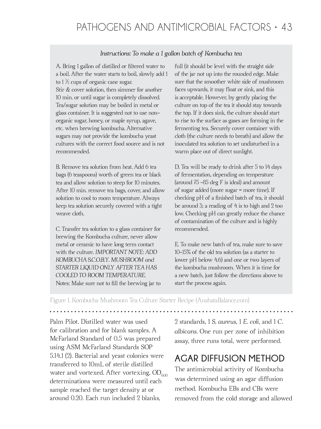#### *Instructions: To make a 1 gallon batch of Kombucha tea*

A. Bring 1 gallon of distilled or fltered water to a boil. After the water starts to boil, slowly add 1 to  $1\frac{1}{2}$  cups of organic cane sugar. Stir & cover solution, then simmer for another 10 min. or until sugar is completely dissolved. Tea/sugar solution may be boiled in metal or glass container. It is suggested not to use nonorganic sugar, honey, or maple syrup, agave, etc. when brewing kombucha. Alternative sugars may not provide the kombucha yeast cultures with the correct food source and is not recommended.

B. Remove tea solution from heat. Add 6 tea bags (6 teaspoons) worth of green tea or black tea and allow solution to steep for 10 minutes. After 10 min. remove tea bags, cover, and allow solution to cool to room temperature. Always keep tea solution securely covered with a tight weave cloth.

C. Transfer tea solution to a glass container for brewing the Kombucha culture, never allow metal or ceramic to have long term contact with the culture. *IMPORTANT NOTE: ADD KOMBUCHA S.C.O.B.Y. MUSHROOM and STARTER LIQUID ONLY AFTER TEA HAS COOLED TO ROOM TEMPERATURE.*  Notes: Make sure not to fll the brewing jar to

full (it should be level with the straight side of the jar not up into the rounded edge. Make sure that the smoother white side of mushroom faces upwards, it may float or sink, and this is acceptable. However, by gently placing the culture on top of the tea it should stay towards the top. If it does sink, the culture should start to rise to the surface as gases are forming in the fermenting tea. Securely cover container with cloth (the culture needs to breath) and allow the inoculated tea solution to set undisturbed in a warm place out of direct sunlight.

D. Tea will be ready to drink after 5 to 14 days of fermentation, depending on temperature (around 75 -85 deg F is ideal) and amount of sugar added (more sugar = more time). If checking pH of a fnished batch of tea, it should be around 3; a reading of 4 is to high and 2 too low. Checking pH can greatly reduce the chance of contamination of the culture and is highly recommended.

E. To make new batch of tea, make sure to save 10-15% of the old tea solution (as a starter to lower pH below 4.6) and one or two layers of the kombucha mushroom. When it is time for a new batch, just follow the directions above to start the process again.

Figure 1. Kombucha Mushroom Tea Culture Starter Recipe (AnahataBalance.com)

Palm Pilot. Distilled water was used for calibration and for blank samples. A McFarland Standard of 0.5 was prepared using ASM McFarland Standards SOP 5.14.1 (2). Bacterial and yeast colonies were transferred to 10mL of sterile distilled water and vortexed. After vortexing,  $OD_{600}$ determinations were measured until each sample reached the target density at or around 0.20. Each run included 2 blanks,

2 standards, 1 *S. aureus*, 1 *E. coli*, and 1 *C*. *albicans*. One run per zone of inhibition assay, three runs total, were performed.

#### **AGAR DIFFUSION METHOD**

The antimicrobial activity of Kombucha was determined using an agar diffusion method. Kombucha EBs and CBs were removed from the cold storage and allowed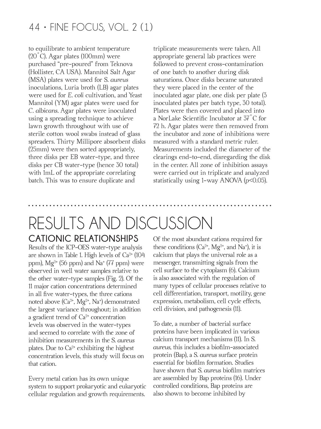to equilibrate to ambient temperature (20˚C). Agar plates (100mm) were purchased "pre-poured" from Teknova (Hollister, CA USA). Mannitol Salt Agar (MSA) plates were used for *S. aureus*  inoculations, Luria broth (LB) agar plates were used for *E. coli* cultivation, and Yeast Mannitol (YM) agar plates were used for *C. albicans*. Agar plates were inoculated using a spreading technique to achieve lawn growth throughout with use of sterile cotton wool swabs instead of glass spreaders. Thirty Millipore absorbent disks (25mm) were then sorted appropriately, three disks per EB water-type, and three disks per CB water-type (hence 30 total) with 1mL of the appropriate correlating batch. This was to ensure duplicate and

triplicate measurements were taken. All appropriate general lab practices were followed to prevent cross-contamination of one batch to another during disk saturations. Once disks became saturated they were placed in the center of the inoculated agar plate, one disk per plate (3 inoculated plates per batch type, 30 total). Plates were then covered and placed into a NorLake Scientifc Incubator at 37˚C for 72 h. Agar plates were then removed from the incubator and zone of inhibitions were measured with a standard metric ruler. Measurements included the diameter of the clearings end-to-end, disregarding the disk in the center. All zone of inhibition assays were carried out in triplicate and analyzed statistically using 1-way ANOVA (*p*<0.05).

# **CATIONIC RELATIONSHIPS** RESULTS AND DISCUSSION

Results of the ICP-OES water-type analysis are shown in Table 1. High levels of  $Ca<sup>2+</sup>$  (104 ppm),  $Mg^{2+}$  (56 ppm) and  $Na^{+}$  (77 ppm) were observed in well water samples relative to the other water-type samples (Fig. 2). Of the 11 major cation concentrations determined in all fve water-types, the three cations noted above (Ca2+, Mg2+, Na<sup>+</sup> ) demonstrated the largest variance throughout; in addition a gradient trend of  $Ca<sup>2+</sup>$  concentration levels was observed in the water-types and seemed to correlate with the zone of inhibition measurements in the *S. aureus* plates. Due to  $Ca^{2+}$  exhibiting the highest concentration levels, this study will focus on that cation.

Every metal cation has its own unique system to support prokaryotic and eukaryotic cellular regulation and growth requirements.

Of the most abundant cations required for these conditions ( $Ca^{2+}$ , Mg<sup>2+</sup>, and Na<sup>+</sup>), it is calcium that plays the universal role as a messenger, transmitting signals from the cell surface to the cytoplasm (6). Calcium is also associated with the regulation of many types of cellular processes relative to cell differentiation, transport, motility, gene expression, metabolism, cell cycle effects, cell division, and pathogenesis (11).

To date, a number of bacterial surface proteins have been implicated in various calcium transport mechanisms (11). In *S. aureus*, this includes a bioflm-associated protein (Bap), a *S. aureus* surface protein essential for bioflm formation. Studies have shown that *S. aureus* bioflm matrices are assembled by Bap proteins (16). Under controlled conditions, Bap proteins are also shown to become inhibited by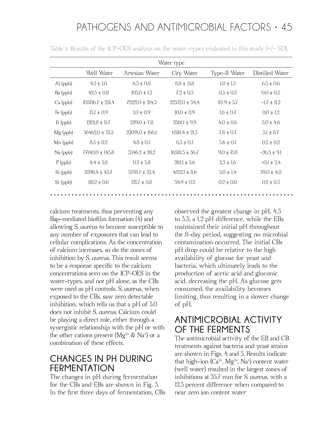| Water type           |                      |                     |                    |                 |                 |  |  |  |  |  |  |  |
|----------------------|----------------------|---------------------|--------------------|-----------------|-----------------|--|--|--|--|--|--|--|
|                      | Well Water           | Artesian Water      | City Water         | Type-II Water   | Distilled Water |  |  |  |  |  |  |  |
| $\mathrm{Al}\$ (ppb) | $4.3 \pm 1.0$        | $6.3 \pm 0.8$       | $8.8 \pm .0.8$     | $1.0 \pm 1.5$   | $6.5 \pm 0.6$   |  |  |  |  |  |  |  |
| Ba (ppb)             | $42.5 \pm 0.8$       | $105.0 \pm 1.2$     | $7.2 \pm 0.3$      | $0.3 \pm 0.5$   | $0.0 \pm 0.5$   |  |  |  |  |  |  |  |
| $Ca$ (ppb)           | $103716.7 \pm 231.4$ | $72122.0 \pm 214.3$ | $22332.0 + 54.4$   | $117.9 \pm 3.7$ | $-1.7 \pm 11.2$ |  |  |  |  |  |  |  |
| Fe (ppb)             | $13.1 \pm 0.9$       | $1.0 \pm 0.9$       | $10.0 \pm 0.9$     | $1.6 \pm 0.7$   | $0.0 \pm 1.2$   |  |  |  |  |  |  |  |
| $K$ (ppb)            | $1201.8 \pm 11.7$    | $1219.0 \pm 7.8$    | $2561.1 \pm 9.9$   | $4.0 \pm 0.6$   | $5.0 \pm 4.6$   |  |  |  |  |  |  |  |
| $Mg$ (ppb)           | $56462.0 \pm 53.3$   | $23091.0 \pm 166.1$ | $6518.4 \pm 21.3$  | $7.8 \pm 0.7$   | $3.1 \pm 8.7$   |  |  |  |  |  |  |  |
| $Mn$ (ppb)           | $8.3 \pm 0.2$        | $4.8 \pm 0.1$       | $0.3 \pm 0.1$      | $5.6 \pm 0.1$   | $0.2 \pm 0.2$   |  |  |  |  |  |  |  |
| $Na$ (ppb)           | $77140.0 \pm 145.8$  | $3546.2 \pm 28.2$   | $16581.3 \pm 36.7$ | $9.0 \pm 71.8$  | $-26.3 \pm 9.1$ |  |  |  |  |  |  |  |
| $P$ (ppb)            | $4.4 \pm 3.8$        | $0.2 \pm 3.8$       | $281.1 \pm 5.6$    | $2.3 \pm 1.6$   | $-0.1 \pm 2.4$  |  |  |  |  |  |  |  |
| Si (ppb)             | $8398.4 \pm 45.7$    | $5778.7 + 32.4$     | $4352.1 \pm 8.6$   | $5.0 \pm 1.4$   | $59.0 \pm 4.0$  |  |  |  |  |  |  |  |
| $Sr$ (ppb)           | $88.2 \pm 0.6$       | $121.7 \pm 0.8$     | $54.9 \pm 0.2$     | $0.2 \pm 0.0$   | $0.2 \pm 0.5$   |  |  |  |  |  |  |  |
|                      |                      |                     |                    |                 |                 |  |  |  |  |  |  |  |

Table 1: Results of the ICP-OES analysis on the water-types evaluated in this study (+/- SD).

calcium treatments, thus preventing any Bap-mediated bioflm formation (4) and allowing *S. aureu*s to become susceptible to any number of exposures that can lead to cellular complications. As the concentration of calcium increases, so do the zones of inhibition by *S. aureus*. This result seems to be a response specifc to the calcium concentrations seen on the ICP-OES in the water-types, and not pH alone, as the CBs were used as pH controls. *S. aureus*, when exposed to the CBs, saw zero detectable inhibition, which tells us that a pH of 3.0 does not inhibit *S. aureus*. Calcium could be playing a direct role, either through a synergistic relationship with the pH or with the other cations present ( $Mg^{2+}$  & Na<sup>+</sup>) or a combination of these effects.

#### **CHANGES IN PH DURING FERMENTATION**

The changes in pH during fermentation for the CBs and EBs are shown in Fig. 3. In the frst three days of fermentation, CBs observed the greatest change in pH, 4.5 to 3.3, a 1.2 pH difference, while the EBs maintained their initial pH throughout the 8-day period, suggesting no microbial contamination occurred. The initial CBs pH drop could be relative to the high availability of glucose for yeast and bacteria, which ultimately leads to the production of acetic acid and gluconic acid, decreasing the pH. As glucose gets consumed, the availability becomes limiting, thus resulting in a slower change of pH.

#### **ANTIMICROBIAL ACTIVITY OF THE FERMENTS**

The antimicrobial activity of the EB and CB treatments against bacteria and yeast strains are shown in Figs. 4 and 5. Results indicate that high-ion  $(Ca^{2+}$ ,  $Mg^{2+}$ , Na<sup>+</sup>) content water (well water) resulted in the largest zones of inhibitions at 35.7 mm for *S. aureus*, with a 12.3 percent difference when compared to near zero ion content water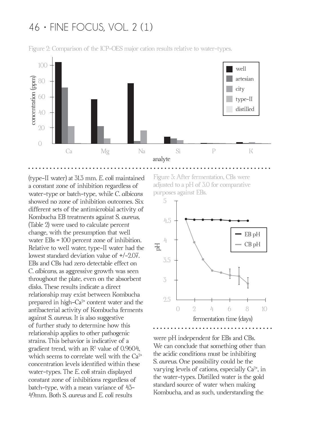

Figure 2: Comparison of the ICP-OES major cation results relative to water-types.

(type-II water) at 31.3 mm. *E. coli* maintained a constant zone of inhibition regardless of water-type or batch-type, while *C. albicans*  showed no zone of inhibition outcomes. Six different sets of the antimicrobial activity of Kombucha EB treatments against *S. aureus,* (Table 2) were used to calculate percent change, with the presumption that well water EBs = 100 percent zone of inhibition. Relative to well water, type-II water had the lowest standard deviation value of +/-2.07. EBs and CBs had zero detectable effect on *C. albicans*, as aggressive growth was seen throughout the plate, even on the absorbent disks. These results indicate a direct relationship may exist between Kombucha prepared in high- $Ca<sup>2+</sup>$  content water and the antibacterial activity of Kombucha ferments against *S. aureus*. It is also suggestive of further study to determine how this relationship applies to other pathogenic strains. This behavior is indicative of a gradient trend, with an  $\mathrm{R}^2$  value of 0.9604, which seems to correlate well with the Ca<sup>2+</sup> concentration levels identifed within these water-types. The *E. coli* strain displayed constant zone of inhibitions regardless of batch-type, with a mean variance of 43- 49mm. Both *S. aureus* and *E. coli* results

Figure 3: After fermentation, CBs were adjusted to a pH of 3.0 for comparative purposes against EBs.



were pH independent for EBs and CBs. We can conclude that something other than the acidic conditions must be inhibiting *S. aureus*. One possibility could be the varying levels of cations, especially  $Ca<sup>2+</sup>$ , in the water-types. Distilled water is the gold standard source of water when making Kombucha, and as such, understanding the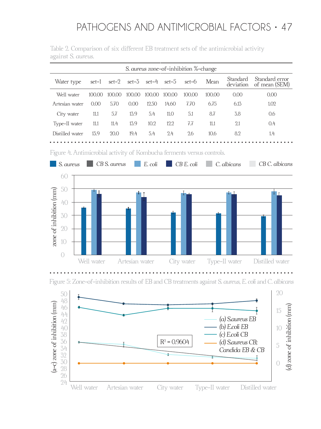| S. aureus zone-of-inhibition %-change |        |        |        |        |                               |        |        |          |                                           |  |  |
|---------------------------------------|--------|--------|--------|--------|-------------------------------|--------|--------|----------|-------------------------------------------|--|--|
| Water type                            |        |        |        |        | set-1 set-2 set-3 set-4 set-5 | set-6  | Mean   | Standard | Standard error<br>deviation of mean (SEM) |  |  |
| Well water                            | 100.00 | 100.00 | 100.00 | 100.00 | 100.00                        | 100.00 | 100.00 | 0.00     | 0.00                                      |  |  |
| Artesian water                        | 0.00   | 5.70   | 0.00   | 12.50  | 14.60                         | 7.70   | 6.75   | 6.13     | 1.02.                                     |  |  |
| City water                            | 11.1   | 5.7    | 13.9   | 5.4    | 11.0                          | 5.1    | 8.7    | 3.8      | 0.6                                       |  |  |
| Type-II water                         | 11.1   | 11.4   | 13.9   | 10.2   | 12.2.                         | 7.7    | 11.1   | 2.1      | 0.4                                       |  |  |
| Distilled water                       | 13.9   | 20.0   | 19.4   | 5.4    | 2.4                           | 2.6    | 10.6   | 8.2      | 1.4                                       |  |  |

Table 2. Comparison of six different EB treatment sets of the antimicrobial activity against *S. aureus.*

Figure 4. Antimicrobial activity of Kombucha ferments versus controls.



Figure 5: Zone-of-inhibition results of EB and CB treatments against *S. aureus*, *E. coli* and *C. albicans*

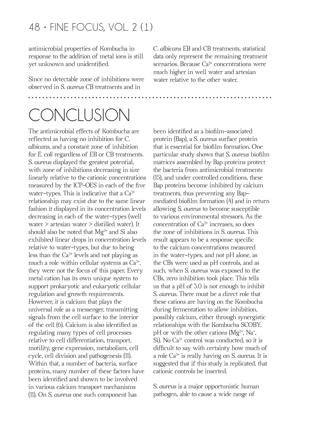antimicrobial properties of Kombucha in response to the addition of metal ions is still yet unknown and unidentifed.

Since no detectable zone of inhibitions were observed in *S. aureus* CB treatments and in

#### *C. albicans* EB and CB treatments, statistical data only represent the remaining treatment scenarios. Because  $Ca^{2+}$  concentrations were much higher in well water and artesian water relative to the other water.

# **CONCLUSION**

The antimicrobial effects of Kombucha are reflected as having no inhibition for *C*. *albicans*, and a constant zone of inhibition for *E. coli* regardless of EB or CB treatments. *S. aureus* displayed the greatest potential, with zone of inhibitions decreasing in size linearly relative to the cationic concentrations measured by the ICP-OES in each of the fve water-types. This is indicative that a  $Ca<sup>2+</sup>$ relationship may exist due to the same linear fashion it displayed in its concentration levels decreasing in each of the water-types (well water > artesian water > distilled water). It should also be noted that  $Mg^{2+}$  and Si also exhibited linear drops in concentration levels relative to water-types, but due to being less than the  $Ca^{2+}$  levels and not playing as much a role within cellular systems as  $Ca<sup>2+</sup>$ , they were not the focus of this paper. Every metal cation has its own unique system to support prokaryotic and eukaryotic cellular regulation and growth requirements. However, it is calcium that plays the universal role as a messenger, transmitting signals from the cell surface to the interior of the cell (6). Calcium is also identifed as regulating many types of cell processes relative to cell differentiation, transport, motility, gene expression, metabolism, cell cycle, cell division and pathogenesis (11). Within that, a number of bacteria, surface proteins, many number of these factors have been identifed and shown to be involved in various calcium transport mechanisms (11). On *S. aureus* one such component has

been identifed as a bioflm-associated protein (Bap), a *S. aureus* surface protein that is essential for bioflm formation. One particular study shows that *S. aureus* bioflm matrices assembled by Bap proteins protect the bacteria from antimicrobial treatments (15), and under controlled conditions, these Bap proteins become inhibited by calcium treatments, thus preventing any Bapmediated bioflm formation (4) and in return allowing *S. aureus* to become susceptible to various environmental stressors. As the concentration of  $Ca<sup>2+</sup>$  increases, so does the zone of inhibitions in *S. aureus*. This result appears to be a response specifc to the calcium concentrations measured in the water-types, and not pH alone, as the CBs were used as pH controls, and as such, when *S. aureus* was exposed to the CBs, zero inhibition took place. This tells us that a pH of 3.0 is not enough to inhibit *S. aureus*. There must be a direct role that these cations are having on the Kombucha during fermentation to allow inhibition, possibly calcium, either through synergistic relationships with the Kombucha SCOBY, pH or with the other cations ( $Mg^{2+}$ , Na<sup>+</sup>, Si). No  $Ca^{2+}$  control was conducted, so it is difficult to say with certainty how much of a role Ca2+ is really having on *S. aureus.* It is suggested that if this study is replicated, that cationic controls be inserted.

*S. aureus* is a major opportunistic human pathogen, able to cause a wide range of